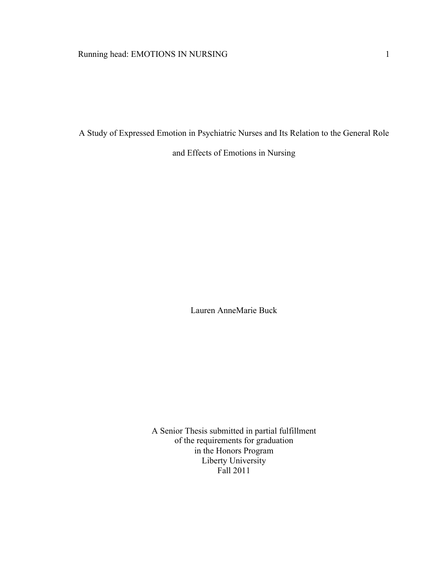A Study of Expressed Emotion in Psychiatric Nurses and Its Relation to the General Role and Effects of Emotions in Nursing

Lauren AnneMarie Buck

A Senior Thesis submitted in partial fulfillment of the requirements for graduation in the Honors Program Liberty University Fall 2011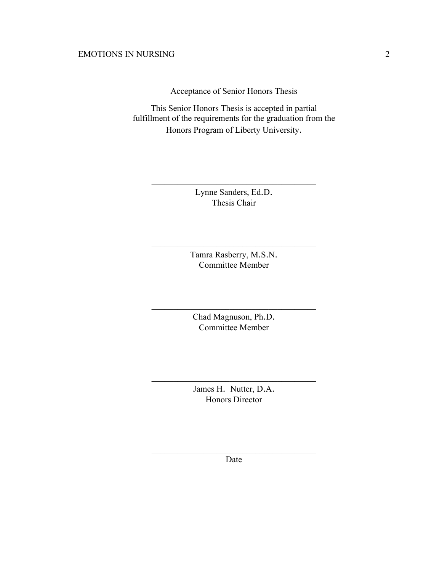Acceptance of Senior Honors Thesis

This Senior Honors Thesis is accepted in partial fulfillment of the requirements for the graduation from the Honors Program of Liberty University.

Lynne Sanders, Ed.D. Thesis Chair

 $\mathcal{L}_\text{max}$ 

Tamra Rasberry, M.S.N. Committee Member

 $\mathcal{L}_\text{max}$ 

Chad Magnuson, Ph.D. Committee Member

 $\mathcal{L}_\text{max}$  and  $\mathcal{L}_\text{max}$  and  $\mathcal{L}_\text{max}$  and  $\mathcal{L}_\text{max}$ 

James H. Nutter, D.A. Honors Director

 $\mathcal{L}_\text{max}$  and  $\mathcal{L}_\text{max}$  and  $\mathcal{L}_\text{max}$  and  $\mathcal{L}_\text{max}$ 

 $\mathcal{L}_\text{max}$  and  $\mathcal{L}_\text{max}$  and  $\mathcal{L}_\text{max}$  and  $\mathcal{L}_\text{max}$ Date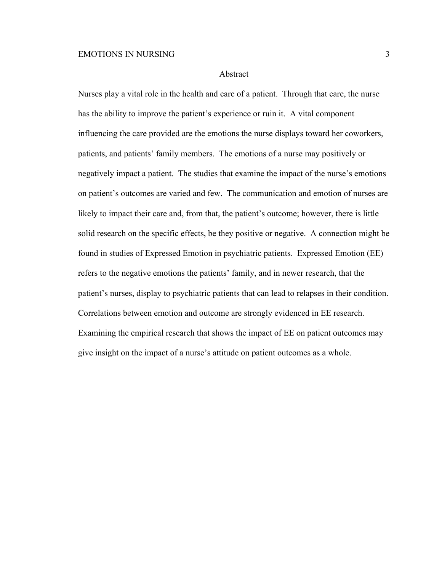#### Abstract

Nurses play a vital role in the health and care of a patient. Through that care, the nurse has the ability to improve the patient's experience or ruin it. A vital component influencing the care provided are the emotions the nurse displays toward her coworkers, patients, and patients' family members. The emotions of a nurse may positively or negatively impact a patient. The studies that examine the impact of the nurse's emotions on patient's outcomes are varied and few. The communication and emotion of nurses are likely to impact their care and, from that, the patient's outcome; however, there is little solid research on the specific effects, be they positive or negative. A connection might be found in studies of Expressed Emotion in psychiatric patients. Expressed Emotion (EE) refers to the negative emotions the patients' family, and in newer research, that the patient's nurses, display to psychiatric patients that can lead to relapses in their condition. Correlations between emotion and outcome are strongly evidenced in EE research. Examining the empirical research that shows the impact of EE on patient outcomes may give insight on the impact of a nurse's attitude on patient outcomes as a whole.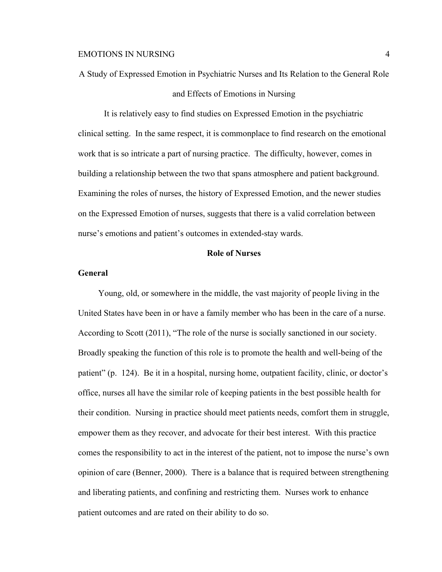A Study of Expressed Emotion in Psychiatric Nurses and Its Relation to the General Role and Effects of Emotions in Nursing

It is relatively easy to find studies on Expressed Emotion in the psychiatric clinical setting. In the same respect, it is commonplace to find research on the emotional work that is so intricate a part of nursing practice. The difficulty, however, comes in building a relationship between the two that spans atmosphere and patient background. Examining the roles of nurses, the history of Expressed Emotion, and the newer studies on the Expressed Emotion of nurses, suggests that there is a valid correlation between nurse's emotions and patient's outcomes in extended-stay wards.

## **Role of Nurses**

### **General**

Young, old, or somewhere in the middle, the vast majority of people living in the United States have been in or have a family member who has been in the care of a nurse. According to Scott (2011), "The role of the nurse is socially sanctioned in our society. Broadly speaking the function of this role is to promote the health and well-being of the patient" (p. 124). Be it in a hospital, nursing home, outpatient facility, clinic, or doctor's office, nurses all have the similar role of keeping patients in the best possible health for their condition. Nursing in practice should meet patients needs, comfort them in struggle, empower them as they recover, and advocate for their best interest. With this practice comes the responsibility to act in the interest of the patient, not to impose the nurse's own opinion of care (Benner, 2000). There is a balance that is required between strengthening and liberating patients, and confining and restricting them. Nurses work to enhance patient outcomes and are rated on their ability to do so.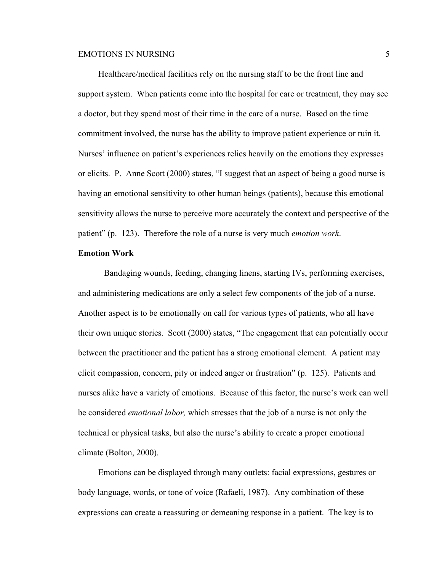Healthcare/medical facilities rely on the nursing staff to be the front line and support system. When patients come into the hospital for care or treatment, they may see a doctor, but they spend most of their time in the care of a nurse. Based on the time commitment involved, the nurse has the ability to improve patient experience or ruin it. Nurses' influence on patient's experiences relies heavily on the emotions they expresses or elicits. P. Anne Scott (2000) states, "I suggest that an aspect of being a good nurse is having an emotional sensitivity to other human beings (patients), because this emotional sensitivity allows the nurse to perceive more accurately the context and perspective of the patient" (p. 123). Therefore the role of a nurse is very much *emotion work*.

# **Emotion Work**

Bandaging wounds, feeding, changing linens, starting IVs, performing exercises, and administering medications are only a select few components of the job of a nurse. Another aspect is to be emotionally on call for various types of patients, who all have their own unique stories. Scott (2000) states, "The engagement that can potentially occur between the practitioner and the patient has a strong emotional element. A patient may elicit compassion, concern, pity or indeed anger or frustration" (p. 125). Patients and nurses alike have a variety of emotions. Because of this factor, the nurse's work can well be considered *emotional labor,* which stresses that the job of a nurse is not only the technical or physical tasks, but also the nurse's ability to create a proper emotional climate (Bolton, 2000).

Emotions can be displayed through many outlets: facial expressions, gestures or body language, words, or tone of voice (Rafaeli, 1987). Any combination of these expressions can create a reassuring or demeaning response in a patient. The key is to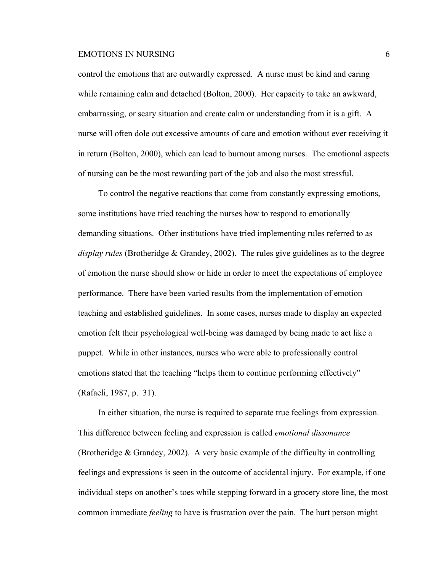control the emotions that are outwardly expressed. A nurse must be kind and caring while remaining calm and detached (Bolton, 2000). Her capacity to take an awkward, embarrassing, or scary situation and create calm or understanding from it is a gift. A nurse will often dole out excessive amounts of care and emotion without ever receiving it in return (Bolton, 2000), which can lead to burnout among nurses. The emotional aspects of nursing can be the most rewarding part of the job and also the most stressful.

To control the negative reactions that come from constantly expressing emotions, some institutions have tried teaching the nurses how to respond to emotionally demanding situations. Other institutions have tried implementing rules referred to as *display rules* (Brotheridge & Grandey, 2002). The rules give guidelines as to the degree of emotion the nurse should show or hide in order to meet the expectations of employee performance. There have been varied results from the implementation of emotion teaching and established guidelines. In some cases, nurses made to display an expected emotion felt their psychological well-being was damaged by being made to act like a puppet. While in other instances, nurses who were able to professionally control emotions stated that the teaching "helps them to continue performing effectively" (Rafaeli, 1987, p. 31).

In either situation, the nurse is required to separate true feelings from expression. This difference between feeling and expression is called *emotional dissonance* (Brotheridge & Grandey, 2002). A very basic example of the difficulty in controlling feelings and expressions is seen in the outcome of accidental injury. For example, if one individual steps on another's toes while stepping forward in a grocery store line, the most common immediate *feeling* to have is frustration over the pain. The hurt person might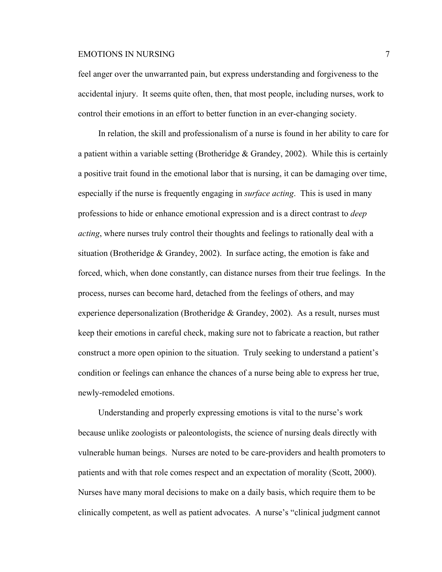feel anger over the unwarranted pain, but express understanding and forgiveness to the accidental injury. It seems quite often, then, that most people, including nurses, work to control their emotions in an effort to better function in an ever-changing society.

In relation, the skill and professionalism of a nurse is found in her ability to care for a patient within a variable setting (Brotheridge  $& Grandey, 2002$ ). While this is certainly a positive trait found in the emotional labor that is nursing, it can be damaging over time, especially if the nurse is frequently engaging in *surface acting*. This is used in many professions to hide or enhance emotional expression and is a direct contrast to *deep acting*, where nurses truly control their thoughts and feelings to rationally deal with a situation (Brotheridge  $& Grandey, 2002$ ). In surface acting, the emotion is fake and forced, which, when done constantly, can distance nurses from their true feelings. In the process, nurses can become hard, detached from the feelings of others, and may experience depersonalization (Brotheridge  $\&$  Grandey, 2002). As a result, nurses must keep their emotions in careful check, making sure not to fabricate a reaction, but rather construct a more open opinion to the situation. Truly seeking to understand a patient's condition or feelings can enhance the chances of a nurse being able to express her true, newly-remodeled emotions.

Understanding and properly expressing emotions is vital to the nurse's work because unlike zoologists or paleontologists, the science of nursing deals directly with vulnerable human beings. Nurses are noted to be care-providers and health promoters to patients and with that role comes respect and an expectation of morality (Scott, 2000). Nurses have many moral decisions to make on a daily basis, which require them to be clinically competent, as well as patient advocates. A nurse's "clinical judgment cannot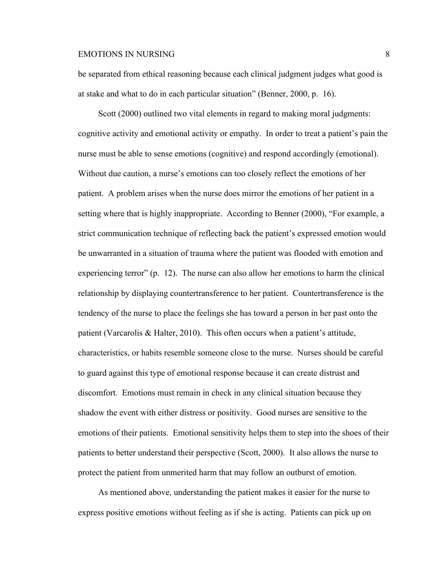be separated from ethical reasoning because each clinical judgment judges what good is at stake and what to do in each particular situation" (Benner, 2000, p. 16).

Scott (2000) outlined two vital elements in regard to making moral judgments: cognitive activity and emotional activity or empathy. In order to treat a patient's pain the nurse must be able to sense emotions (cognitive) and respond accordingly (emotional). Without due caution, a nurse's emotions can too closely reflect the emotions of her patient. A problem arises when the nurse does mirror the emotions of her patient in a setting where that is highly inappropriate. According to Benner (2000), "For example, a strict communication technique of reflecting back the patient's expressed emotion would be unwarranted in a situation of trauma where the patient was flooded with emotion and experiencing terror" (p. 12). The nurse can also allow her emotions to harm the clinical relationship by displaying countertransference to her patient. Countertransference is the tendency of the nurse to place the feelings she has toward a person in her past onto the patient (Varcarolis & Halter, 2010). This often occurs when a patient's attitude, characteristics, or habits resemble someone close to the nurse. Nurses should be careful to guard against this type of emotional response because it can create distrust and discomfort. Emotions must remain in check in any clinical situation because they shadow the event with either distress or positivity. Good nurses are sensitive to the emotions of their patients. Emotional sensitivity helps them to step into the shoes of their patients to better understand their perspective (Scott, 2000). It also allows the nurse to protect the patient from unmerited harm that may follow an outburst of emotion.

As mentioned above, understanding the patient makes it easier for the nurse to express positive emotions without feeling as if she is acting. Patients can pick up on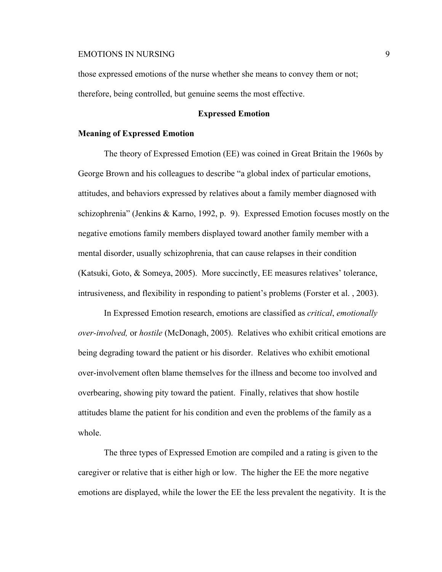those expressed emotions of the nurse whether she means to convey them or not; therefore, being controlled, but genuine seems the most effective.

### **Expressed Emotion**

### **Meaning of Expressed Emotion**

The theory of Expressed Emotion (EE) was coined in Great Britain the 1960s by George Brown and his colleagues to describe "a global index of particular emotions, attitudes, and behaviors expressed by relatives about a family member diagnosed with schizophrenia" (Jenkins & Karno, 1992, p. 9). Expressed Emotion focuses mostly on the negative emotions family members displayed toward another family member with a mental disorder, usually schizophrenia, that can cause relapses in their condition (Katsuki, Goto, & Someya, 2005). More succinctly, EE measures relatives' tolerance, intrusiveness, and flexibility in responding to patient's problems (Forster et al. , 2003).

In Expressed Emotion research, emotions are classified as *critical*, *emotionally over-involved,* or *hostile* (McDonagh, 2005). Relatives who exhibit critical emotions are being degrading toward the patient or his disorder. Relatives who exhibit emotional over-involvement often blame themselves for the illness and become too involved and overbearing, showing pity toward the patient. Finally, relatives that show hostile attitudes blame the patient for his condition and even the problems of the family as a whole.

The three types of Expressed Emotion are compiled and a rating is given to the caregiver or relative that is either high or low. The higher the EE the more negative emotions are displayed, while the lower the EE the less prevalent the negativity. It is the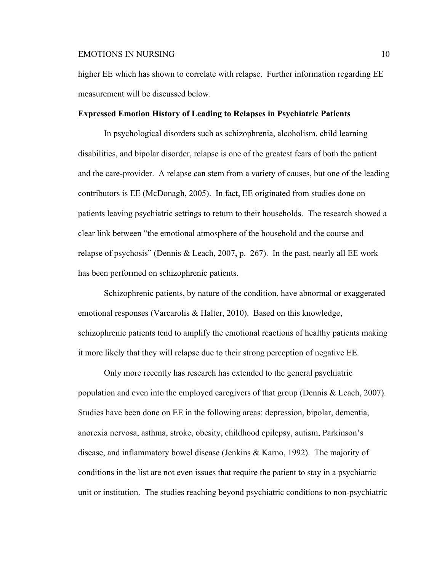higher EE which has shown to correlate with relapse. Further information regarding EE measurement will be discussed below.

### **Expressed Emotion History of Leading to Relapses in Psychiatric Patients**

In psychological disorders such as schizophrenia, alcoholism, child learning disabilities, and bipolar disorder, relapse is one of the greatest fears of both the patient and the care-provider. A relapse can stem from a variety of causes, but one of the leading contributors is EE (McDonagh, 2005). In fact, EE originated from studies done on patients leaving psychiatric settings to return to their households. The research showed a clear link between "the emotional atmosphere of the household and the course and relapse of psychosis" (Dennis & Leach, 2007, p. 267). In the past, nearly all EE work has been performed on schizophrenic patients.

Schizophrenic patients, by nature of the condition, have abnormal or exaggerated emotional responses (Varcarolis & Halter, 2010). Based on this knowledge, schizophrenic patients tend to amplify the emotional reactions of healthy patients making it more likely that they will relapse due to their strong perception of negative EE.

Only more recently has research has extended to the general psychiatric population and even into the employed caregivers of that group (Dennis & Leach, 2007). Studies have been done on EE in the following areas: depression, bipolar, dementia, anorexia nervosa, asthma, stroke, obesity, childhood epilepsy, autism, Parkinson's disease, and inflammatory bowel disease (Jenkins & Karno, 1992). The majority of conditions in the list are not even issues that require the patient to stay in a psychiatric unit or institution. The studies reaching beyond psychiatric conditions to non-psychiatric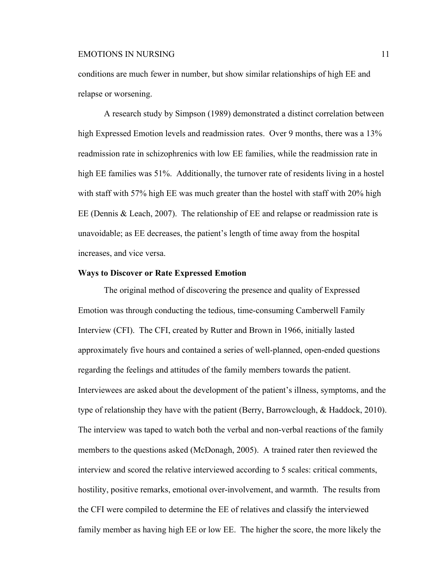conditions are much fewer in number, but show similar relationships of high EE and relapse or worsening.

A research study by Simpson (1989) demonstrated a distinct correlation between high Expressed Emotion levels and readmission rates. Over 9 months, there was a 13% readmission rate in schizophrenics with low EE families, while the readmission rate in high EE families was 51%. Additionally, the turnover rate of residents living in a hostel with staff with 57% high EE was much greater than the hostel with staff with 20% high EE (Dennis & Leach, 2007). The relationship of EE and relapse or readmission rate is unavoidable; as EE decreases, the patient's length of time away from the hospital increases, and vice versa.

# **Ways to Discover or Rate Expressed Emotion**

The original method of discovering the presence and quality of Expressed Emotion was through conducting the tedious, time-consuming Camberwell Family Interview (CFI). The CFI, created by Rutter and Brown in 1966, initially lasted approximately five hours and contained a series of well-planned, open-ended questions regarding the feelings and attitudes of the family members towards the patient. Interviewees are asked about the development of the patient's illness, symptoms, and the type of relationship they have with the patient (Berry, Barrowclough, & Haddock, 2010). The interview was taped to watch both the verbal and non-verbal reactions of the family members to the questions asked (McDonagh, 2005). A trained rater then reviewed the interview and scored the relative interviewed according to 5 scales: critical comments, hostility, positive remarks, emotional over-involvement, and warmth. The results from the CFI were compiled to determine the EE of relatives and classify the interviewed family member as having high EE or low EE. The higher the score, the more likely the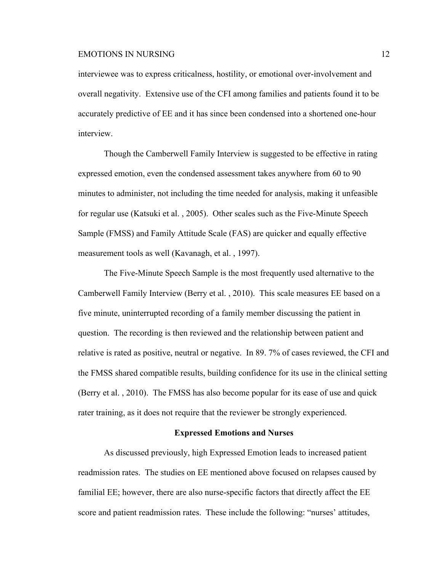interviewee was to express criticalness, hostility, or emotional over-involvement and overall negativity. Extensive use of the CFI among families and patients found it to be accurately predictive of EE and it has since been condensed into a shortened one-hour interview.

Though the Camberwell Family Interview is suggested to be effective in rating expressed emotion, even the condensed assessment takes anywhere from 60 to 90 minutes to administer, not including the time needed for analysis, making it unfeasible for regular use (Katsuki et al. , 2005). Other scales such as the Five-Minute Speech Sample (FMSS) and Family Attitude Scale (FAS) are quicker and equally effective measurement tools as well (Kavanagh, et al. , 1997).

The Five-Minute Speech Sample is the most frequently used alternative to the Camberwell Family Interview (Berry et al. , 2010). This scale measures EE based on a five minute, uninterrupted recording of a family member discussing the patient in question. The recording is then reviewed and the relationship between patient and relative is rated as positive, neutral or negative. In 89. 7% of cases reviewed, the CFI and the FMSS shared compatible results, building confidence for its use in the clinical setting (Berry et al. , 2010). The FMSS has also become popular for its ease of use and quick rater training, as it does not require that the reviewer be strongly experienced.

# **Expressed Emotions and Nurses**

As discussed previously, high Expressed Emotion leads to increased patient readmission rates. The studies on EE mentioned above focused on relapses caused by familial EE; however, there are also nurse-specific factors that directly affect the EE score and patient readmission rates. These include the following: "nurses' attitudes,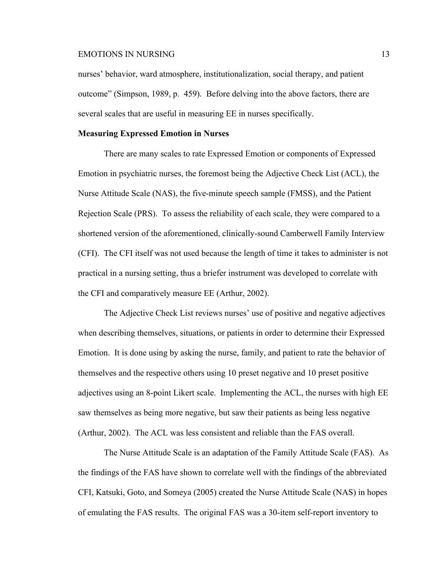nurses' behavior, ward atmosphere, institutionalization, social therapy, and patient outcome" (Simpson, 1989, p. 459). Before delving into the above factors, there are several scales that are useful in measuring EE in nurses specifically.

### **Measuring Expressed Emotion in Nurses**

There are many scales to rate Expressed Emotion or components of Expressed Emotion in psychiatric nurses, the foremost being the Adjective Check List (ACL), the Nurse Attitude Scale (NAS), the five-minute speech sample (FMSS), and the Patient Rejection Scale (PRS). To assess the reliability of each scale, they were compared to a shortened version of the aforementioned, clinically-sound Camberwell Family Interview (CFI). The CFI itself was not used because the length of time it takes to administer is not practical in a nursing setting, thus a briefer instrument was developed to correlate with the CFI and comparatively measure EE (Arthur, 2002).

The Adjective Check List reviews nurses' use of positive and negative adjectives when describing themselves, situations, or patients in order to determine their Expressed Emotion. It is done using by asking the nurse, family, and patient to rate the behavior of themselves and the respective others using 10 preset negative and 10 preset positive adjectives using an 8-point Likert scale. Implementing the ACL, the nurses with high EE saw themselves as being more negative, but saw their patients as being less negative (Arthur, 2002). The ACL was less consistent and reliable than the FAS overall.

The Nurse Attitude Scale is an adaptation of the Family Attitude Scale (FAS). As the findings of the FAS have shown to correlate well with the findings of the abbreviated CFI, Katsuki, Goto, and Someya (2005) created the Nurse Attitude Scale (NAS) in hopes of emulating the FAS results. The original FAS was a 30-item self-report inventory to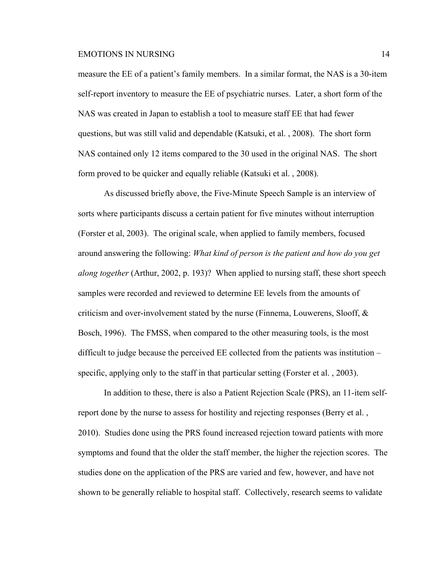measure the EE of a patient's family members. In a similar format, the NAS is a 30-item self-report inventory to measure the EE of psychiatric nurses. Later, a short form of the NAS was created in Japan to establish a tool to measure staff EE that had fewer questions, but was still valid and dependable (Katsuki, et al. , 2008). The short form NAS contained only 12 items compared to the 30 used in the original NAS. The short form proved to be quicker and equally reliable (Katsuki et al. , 2008).

As discussed briefly above, the Five-Minute Speech Sample is an interview of sorts where participants discuss a certain patient for five minutes without interruption (Forster et al, 2003). The original scale, when applied to family members, focused around answering the following: *What kind of person is the patient and how do you get along together* (Arthur, 2002, p. 193)? When applied to nursing staff, these short speech samples were recorded and reviewed to determine EE levels from the amounts of criticism and over-involvement stated by the nurse (Finnema, Louwerens, Slooff, & Bosch, 1996). The FMSS, when compared to the other measuring tools, is the most difficult to judge because the perceived EE collected from the patients was institution – specific, applying only to the staff in that particular setting (Forster et al. , 2003).

In addition to these, there is also a Patient Rejection Scale (PRS), an 11-item selfreport done by the nurse to assess for hostility and rejecting responses (Berry et al. , 2010). Studies done using the PRS found increased rejection toward patients with more symptoms and found that the older the staff member, the higher the rejection scores. The studies done on the application of the PRS are varied and few, however, and have not shown to be generally reliable to hospital staff. Collectively, research seems to validate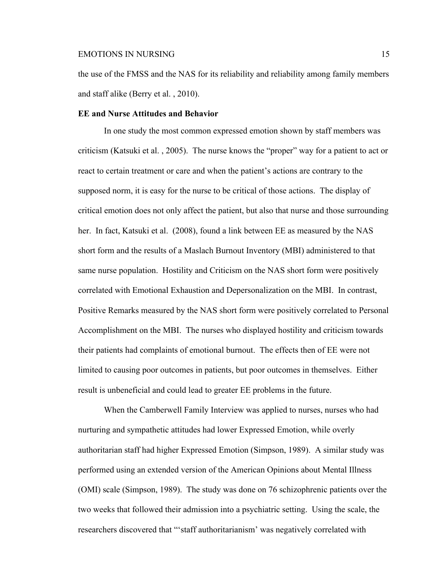the use of the FMSS and the NAS for its reliability and reliability among family members and staff alike (Berry et al. , 2010).

### **EE and Nurse Attitudes and Behavior**

In one study the most common expressed emotion shown by staff members was criticism (Katsuki et al. , 2005). The nurse knows the "proper" way for a patient to act or react to certain treatment or care and when the patient's actions are contrary to the supposed norm, it is easy for the nurse to be critical of those actions. The display of critical emotion does not only affect the patient, but also that nurse and those surrounding her. In fact, Katsuki et al. (2008), found a link between EE as measured by the NAS short form and the results of a Maslach Burnout Inventory (MBI) administered to that same nurse population. Hostility and Criticism on the NAS short form were positively correlated with Emotional Exhaustion and Depersonalization on the MBI. In contrast, Positive Remarks measured by the NAS short form were positively correlated to Personal Accomplishment on the MBI. The nurses who displayed hostility and criticism towards their patients had complaints of emotional burnout. The effects then of EE were not limited to causing poor outcomes in patients, but poor outcomes in themselves. Either result is unbeneficial and could lead to greater EE problems in the future.

When the Camberwell Family Interview was applied to nurses, nurses who had nurturing and sympathetic attitudes had lower Expressed Emotion, while overly authoritarian staff had higher Expressed Emotion (Simpson, 1989). A similar study was performed using an extended version of the American Opinions about Mental Illness (OMI) scale (Simpson, 1989). The study was done on 76 schizophrenic patients over the two weeks that followed their admission into a psychiatric setting. Using the scale, the researchers discovered that "'staff authoritarianism' was negatively correlated with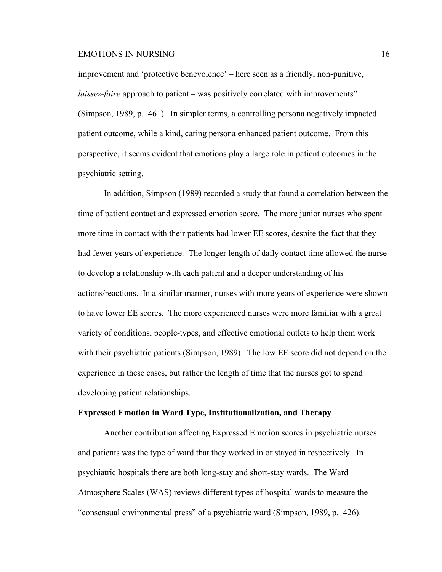improvement and 'protective benevolence' – here seen as a friendly, non-punitive, *laissez-faire* approach to patient – was positively correlated with improvements" (Simpson, 1989, p. 461). In simpler terms, a controlling persona negatively impacted patient outcome, while a kind, caring persona enhanced patient outcome. From this perspective, it seems evident that emotions play a large role in patient outcomes in the psychiatric setting.

In addition, Simpson (1989) recorded a study that found a correlation between the time of patient contact and expressed emotion score. The more junior nurses who spent more time in contact with their patients had lower EE scores, despite the fact that they had fewer years of experience. The longer length of daily contact time allowed the nurse to develop a relationship with each patient and a deeper understanding of his actions/reactions. In a similar manner, nurses with more years of experience were shown to have lower EE scores. The more experienced nurses were more familiar with a great variety of conditions, people-types, and effective emotional outlets to help them work with their psychiatric patients (Simpson, 1989). The low EE score did not depend on the experience in these cases, but rather the length of time that the nurses got to spend developing patient relationships.

# **Expressed Emotion in Ward Type, Institutionalization, and Therapy**

Another contribution affecting Expressed Emotion scores in psychiatric nurses and patients was the type of ward that they worked in or stayed in respectively. In psychiatric hospitals there are both long-stay and short-stay wards. The Ward Atmosphere Scales (WAS) reviews different types of hospital wards to measure the "consensual environmental press" of a psychiatric ward (Simpson, 1989, p. 426).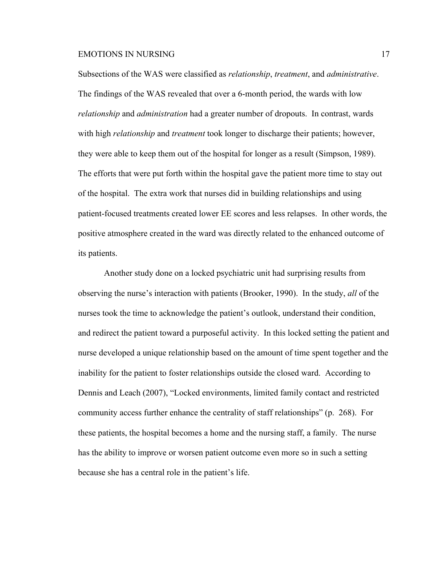Subsections of the WAS were classified as *relationship*, *treatment*, and *administrative*. The findings of the WAS revealed that over a 6-month period, the wards with low *relationship* and *administration* had a greater number of dropouts. In contrast, wards with high *relationship* and *treatment* took longer to discharge their patients; however, they were able to keep them out of the hospital for longer as a result (Simpson, 1989). The efforts that were put forth within the hospital gave the patient more time to stay out of the hospital. The extra work that nurses did in building relationships and using patient-focused treatments created lower EE scores and less relapses. In other words, the positive atmosphere created in the ward was directly related to the enhanced outcome of its patients.

Another study done on a locked psychiatric unit had surprising results from observing the nurse's interaction with patients (Brooker, 1990). In the study, *all* of the nurses took the time to acknowledge the patient's outlook, understand their condition, and redirect the patient toward a purposeful activity. In this locked setting the patient and nurse developed a unique relationship based on the amount of time spent together and the inability for the patient to foster relationships outside the closed ward. According to Dennis and Leach (2007), "Locked environments, limited family contact and restricted community access further enhance the centrality of staff relationships" (p. 268). For these patients, the hospital becomes a home and the nursing staff, a family. The nurse has the ability to improve or worsen patient outcome even more so in such a setting because she has a central role in the patient's life.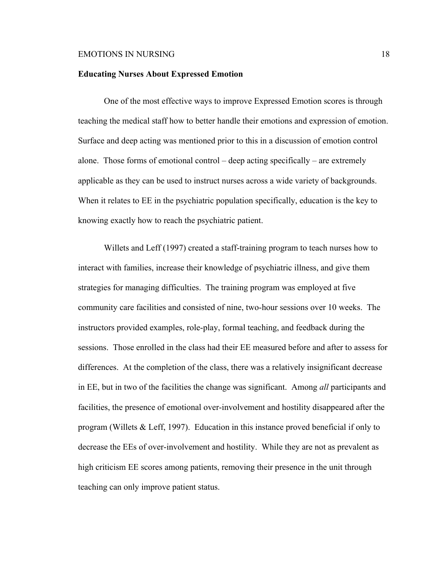### **Educating Nurses About Expressed Emotion**

One of the most effective ways to improve Expressed Emotion scores is through teaching the medical staff how to better handle their emotions and expression of emotion. Surface and deep acting was mentioned prior to this in a discussion of emotion control alone. Those forms of emotional control – deep acting specifically – are extremely applicable as they can be used to instruct nurses across a wide variety of backgrounds. When it relates to EE in the psychiatric population specifically, education is the key to knowing exactly how to reach the psychiatric patient.

Willets and Leff (1997) created a staff-training program to teach nurses how to interact with families, increase their knowledge of psychiatric illness, and give them strategies for managing difficulties. The training program was employed at five community care facilities and consisted of nine, two-hour sessions over 10 weeks. The instructors provided examples, role-play, formal teaching, and feedback during the sessions. Those enrolled in the class had their EE measured before and after to assess for differences. At the completion of the class, there was a relatively insignificant decrease in EE, but in two of the facilities the change was significant. Among *all* participants and facilities, the presence of emotional over-involvement and hostility disappeared after the program (Willets & Leff, 1997). Education in this instance proved beneficial if only to decrease the EEs of over-involvement and hostility. While they are not as prevalent as high criticism EE scores among patients, removing their presence in the unit through teaching can only improve patient status.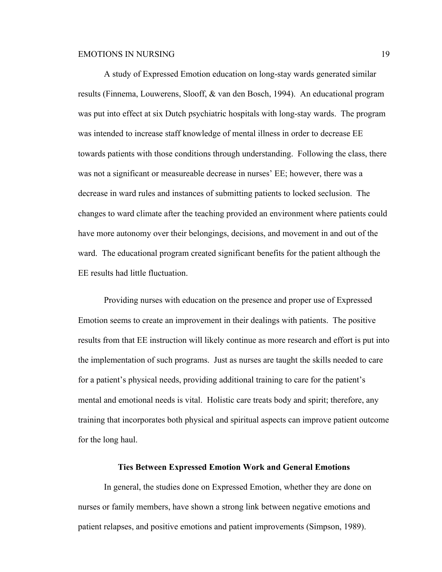A study of Expressed Emotion education on long-stay wards generated similar results (Finnema, Louwerens, Slooff, & van den Bosch, 1994). An educational program was put into effect at six Dutch psychiatric hospitals with long-stay wards. The program was intended to increase staff knowledge of mental illness in order to decrease EE towards patients with those conditions through understanding. Following the class, there was not a significant or measureable decrease in nurses' EE; however, there was a decrease in ward rules and instances of submitting patients to locked seclusion. The changes to ward climate after the teaching provided an environment where patients could have more autonomy over their belongings, decisions, and movement in and out of the ward. The educational program created significant benefits for the patient although the EE results had little fluctuation.

Providing nurses with education on the presence and proper use of Expressed Emotion seems to create an improvement in their dealings with patients. The positive results from that EE instruction will likely continue as more research and effort is put into the implementation of such programs. Just as nurses are taught the skills needed to care for a patient's physical needs, providing additional training to care for the patient's mental and emotional needs is vital. Holistic care treats body and spirit; therefore, any training that incorporates both physical and spiritual aspects can improve patient outcome for the long haul.

#### **Ties Between Expressed Emotion Work and General Emotions**

In general, the studies done on Expressed Emotion, whether they are done on nurses or family members, have shown a strong link between negative emotions and patient relapses, and positive emotions and patient improvements (Simpson, 1989).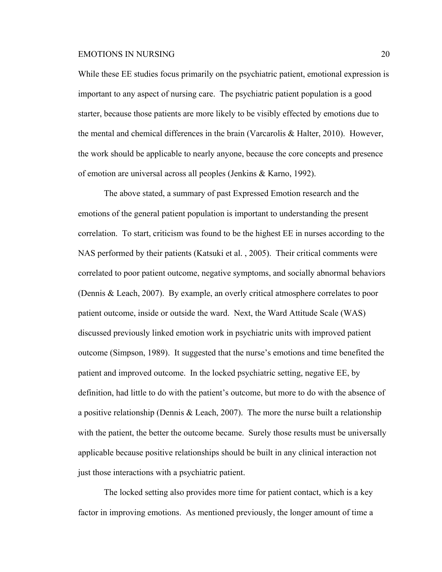While these EE studies focus primarily on the psychiatric patient, emotional expression is important to any aspect of nursing care. The psychiatric patient population is a good starter, because those patients are more likely to be visibly effected by emotions due to the mental and chemical differences in the brain (Varcarolis & Halter, 2010). However, the work should be applicable to nearly anyone, because the core concepts and presence of emotion are universal across all peoples (Jenkins & Karno, 1992).

The above stated, a summary of past Expressed Emotion research and the emotions of the general patient population is important to understanding the present correlation. To start, criticism was found to be the highest EE in nurses according to the NAS performed by their patients (Katsuki et al. , 2005). Their critical comments were correlated to poor patient outcome, negative symptoms, and socially abnormal behaviors (Dennis & Leach, 2007). By example, an overly critical atmosphere correlates to poor patient outcome, inside or outside the ward. Next, the Ward Attitude Scale (WAS) discussed previously linked emotion work in psychiatric units with improved patient outcome (Simpson, 1989). It suggested that the nurse's emotions and time benefited the patient and improved outcome. In the locked psychiatric setting, negative EE, by definition, had little to do with the patient's outcome, but more to do with the absence of a positive relationship (Dennis & Leach, 2007). The more the nurse built a relationship with the patient, the better the outcome became. Surely those results must be universally applicable because positive relationships should be built in any clinical interaction not just those interactions with a psychiatric patient.

The locked setting also provides more time for patient contact, which is a key factor in improving emotions. As mentioned previously, the longer amount of time a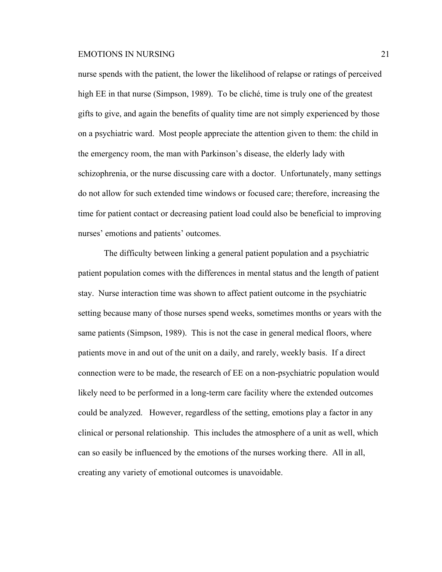nurse spends with the patient, the lower the likelihood of relapse or ratings of perceived high EE in that nurse (Simpson, 1989). To be cliché, time is truly one of the greatest gifts to give, and again the benefits of quality time are not simply experienced by those on a psychiatric ward. Most people appreciate the attention given to them: the child in the emergency room, the man with Parkinson's disease, the elderly lady with schizophrenia, or the nurse discussing care with a doctor. Unfortunately, many settings do not allow for such extended time windows or focused care; therefore, increasing the time for patient contact or decreasing patient load could also be beneficial to improving nurses' emotions and patients' outcomes.

The difficulty between linking a general patient population and a psychiatric patient population comes with the differences in mental status and the length of patient stay. Nurse interaction time was shown to affect patient outcome in the psychiatric setting because many of those nurses spend weeks, sometimes months or years with the same patients (Simpson, 1989). This is not the case in general medical floors, where patients move in and out of the unit on a daily, and rarely, weekly basis. If a direct connection were to be made, the research of EE on a non-psychiatric population would likely need to be performed in a long-term care facility where the extended outcomes could be analyzed. However, regardless of the setting, emotions play a factor in any clinical or personal relationship. This includes the atmosphere of a unit as well, which can so easily be influenced by the emotions of the nurses working there. All in all, creating any variety of emotional outcomes is unavoidable.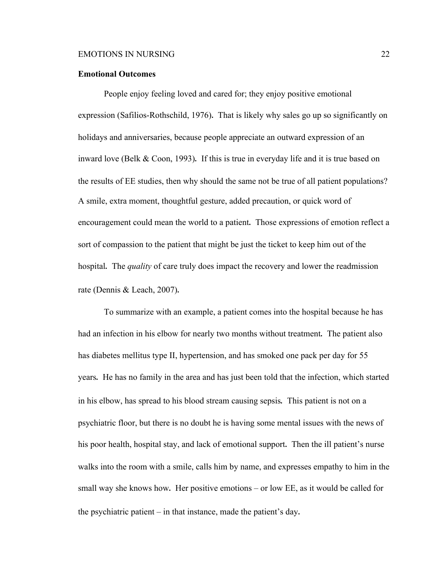#### **Emotional Outcomes**

People enjoy feeling loved and cared for; they enjoy positive emotional expression (Safilios-Rothschild, 1976). That is likely why sales go up so significantly on holidays and anniversaries, because people appreciate an outward expression of an inward love (Belk & Coon, 1993). If this is true in everyday life and it is true based on the results of EE studies, then why should the same not be true of all patient populations? A smile, extra moment, thoughtful gesture, added precaution, or quick word of encouragement could mean the world to a patient. Those expressions of emotion reflect a sort of compassion to the patient that might be just the ticket to keep him out of the hospital. The *quality* of care truly does impact the recovery and lower the readmission rate (Dennis & Leach, 2007).

To summarize with an example, a patient comes into the hospital because he has had an infection in his elbow for nearly two months without treatment. The patient also has diabetes mellitus type II, hypertension, and has smoked one pack per day for 55 years. He has no family in the area and has just been told that the infection, which started in his elbow, has spread to his blood stream causing sepsis. This patient is not on a psychiatric floor, but there is no doubt he is having some mental issues with the news of his poor health, hospital stay, and lack of emotional support. Then the ill patient's nurse walks into the room with a smile, calls him by name, and expresses empathy to him in the small way she knows how. Her positive emotions – or low EE, as it would be called for the psychiatric patient – in that instance, made the patient's day.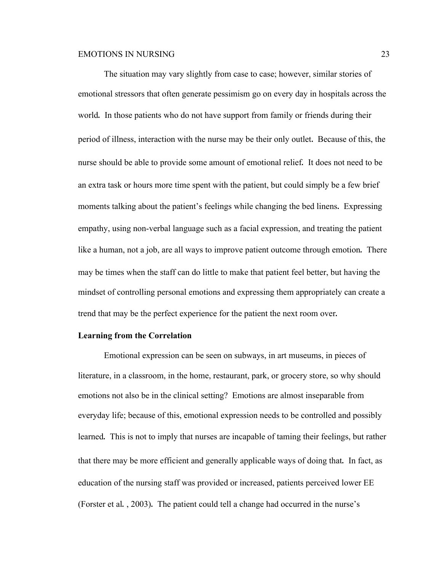The situation may vary slightly from case to case; however, similar stories of emotional stressors that often generate pessimism go on every day in hospitals across the world. In those patients who do not have support from family or friends during their period of illness, interaction with the nurse may be their only outlet. Because of this, the nurse should be able to provide some amount of emotional relief. It does not need to be an extra task or hours more time spent with the patient, but could simply be a few brief moments talking about the patient's feelings while changing the bed linens. Expressing empathy, using non-verbal language such as a facial expression, and treating the patient like a human, not a job, are all ways to improve patient outcome through emotion. There may be times when the staff can do little to make that patient feel better, but having the mindset of controlling personal emotions and expressing them appropriately can create a trend that may be the perfect experience for the patient the next room over.

#### **Learning from the Correlation**

Emotional expression can be seen on subways, in art museums, in pieces of literature, in a classroom, in the home, restaurant, park, or grocery store, so why should emotions not also be in the clinical setting? Emotions are almost inseparable from everyday life; because of this, emotional expression needs to be controlled and possibly learned. This is not to imply that nurses are incapable of taming their feelings, but rather that there may be more efficient and generally applicable ways of doing that. In fact, as education of the nursing staff was provided or increased, patients perceived lower EE (Forster et al. , 2003). The patient could tell a change had occurred in the nurse's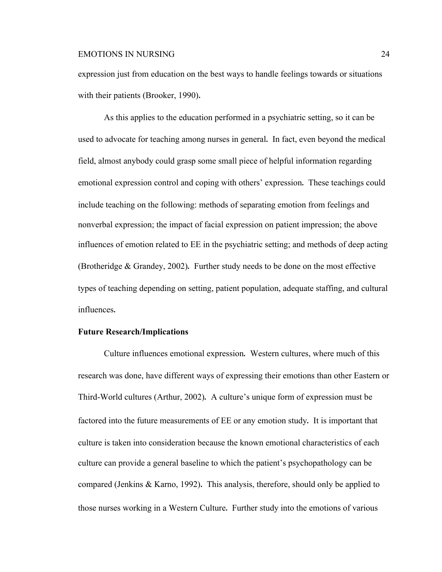expression just from education on the best ways to handle feelings towards or situations with their patients (Brooker, 1990).

As this applies to the education performed in a psychiatric setting, so it can be used to advocate for teaching among nurses in general. In fact, even beyond the medical field, almost anybody could grasp some small piece of helpful information regarding emotional expression control and coping with others' expression. These teachings could include teaching on the following: methods of separating emotion from feelings and nonverbal expression; the impact of facial expression on patient impression; the above influences of emotion related to EE in the psychiatric setting; and methods of deep acting (Brotheridge & Grandey, 2002). Further study needs to be done on the most effective types of teaching depending on setting, patient population, adequate staffing, and cultural influences.

# **Future Research/Implications**

Culture influences emotional expression. Western cultures, where much of this research was done, have different ways of expressing their emotions than other Eastern or Third-World cultures (Arthur, 2002). A culture's unique form of expression must be factored into the future measurements of EE or any emotion study. It is important that culture is taken into consideration because the known emotional characteristics of each culture can provide a general baseline to which the patient's psychopathology can be compared (Jenkins & Karno, 1992). This analysis, therefore, should only be applied to those nurses working in a Western Culture. Further study into the emotions of various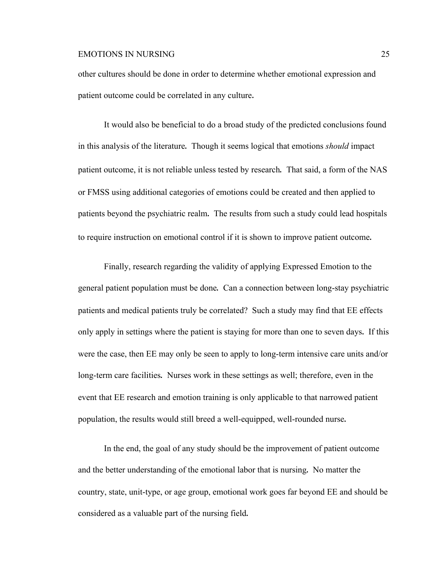other cultures should be done in order to determine whether emotional expression and patient outcome could be correlated in any culture.

It would also be beneficial to do a broad study of the predicted conclusions found in this analysis of the literature. Though it seems logical that emotions *should* impact patient outcome, it is not reliable unless tested by research. That said, a form of the NAS or FMSS using additional categories of emotions could be created and then applied to patients beyond the psychiatric realm. The results from such a study could lead hospitals to require instruction on emotional control if it is shown to improve patient outcome.

Finally, research regarding the validity of applying Expressed Emotion to the general patient population must be done. Can a connection between long-stay psychiatric patients and medical patients truly be correlated? Such a study may find that EE effects only apply in settings where the patient is staying for more than one to seven days. If this were the case, then EE may only be seen to apply to long-term intensive care units and/or long-term care facilities. Nurses work in these settings as well; therefore, even in the event that EE research and emotion training is only applicable to that narrowed patient population, the results would still breed a well-equipped, well-rounded nurse.

In the end, the goal of any study should be the improvement of patient outcome and the better understanding of the emotional labor that is nursing. No matter the country, state, unit-type, or age group, emotional work goes far beyond EE and should be considered as a valuable part of the nursing field.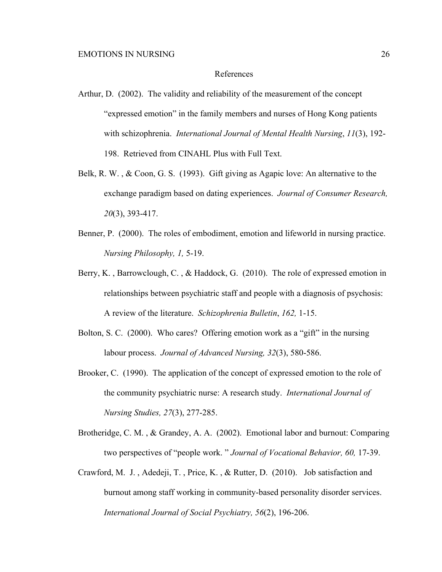#### References

- Arthur, D. (2002). The validity and reliability of the measurement of the concept "expressed emotion" in the family members and nurses of Hong Kong patients with schizophrenia. *International Journal of Mental Health Nursing*, *11*(3), 192- 198. Retrieved from CINAHL Plus with Full Text.
- Belk, R. W. , & Coon, G. S. (1993). Gift giving as Agapic love: An alternative to the exchange paradigm based on dating experiences. *Journal of Consumer Research, 20*(3), 393-417.
- Benner, P. (2000). The roles of embodiment, emotion and lifeworld in nursing practice. *Nursing Philosophy, 1,* 5-19.
- Berry, K. , Barrowclough, C. , & Haddock, G. (2010). The role of expressed emotion in relationships between psychiatric staff and people with a diagnosis of psychosis: A review of the literature. *Schizophrenia Bulletin*, *162,* 1-15.
- Bolton, S. C. (2000). Who cares? Offering emotion work as a "gift" in the nursing labour process. *Journal of Advanced Nursing, 32*(3), 580-586.
- Brooker, C. (1990). The application of the concept of expressed emotion to the role of the community psychiatric nurse: A research study. *International Journal of Nursing Studies, 27*(3), 277-285.
- Brotheridge, C. M. , & Grandey, A. A. (2002). Emotional labor and burnout: Comparing two perspectives of "people work. " *Journal of Vocational Behavior, 60,* 17-39.
- Crawford, M. J. , Adedeji, T. , Price, K. , & Rutter, D. (2010). Job satisfaction and burnout among staff working in community-based personality disorder services. *International Journal of Social Psychiatry, 56*(2), 196-206.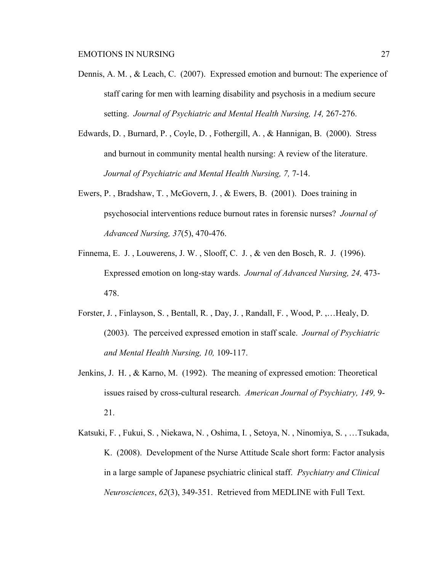- Dennis, A. M. , & Leach, C. (2007). Expressed emotion and burnout: The experience of staff caring for men with learning disability and psychosis in a medium secure setting. *Journal of Psychiatric and Mental Health Nursing, 14,* 267-276.
- Edwards, D. , Burnard, P. , Coyle, D. , Fothergill, A. , & Hannigan, B. (2000). Stress and burnout in community mental health nursing: A review of the literature. *Journal of Psychiatric and Mental Health Nursing, 7,* 7-14.
- Ewers, P. , Bradshaw, T. , McGovern, J. , & Ewers, B. (2001). Does training in psychosocial interventions reduce burnout rates in forensic nurses? *Journal of Advanced Nursing, 37*(5), 470-476.
- Finnema, E. J. , Louwerens, J. W. , Slooff, C. J. , & ven den Bosch, R. J. (1996). Expressed emotion on long-stay wards. *Journal of Advanced Nursing, 24,* 473- 478.
- Forster, J. , Finlayson, S. , Bentall, R. , Day, J. , Randall, F. , Wood, P. ,…Healy, D. (2003). The perceived expressed emotion in staff scale. *Journal of Psychiatric and Mental Health Nursing, 10,* 109-117.
- Jenkins, J. H. , & Karno, M. (1992). The meaning of expressed emotion: Theoretical issues raised by cross-cultural research. *American Journal of Psychiatry, 149,* 9- 21.
- Katsuki, F. , Fukui, S. , Niekawa, N. , Oshima, I. , Setoya, N. , Ninomiya, S. , …Tsukada, K. (2008). Development of the Nurse Attitude Scale short form: Factor analysis in a large sample of Japanese psychiatric clinical staff. *Psychiatry and Clinical Neurosciences*, *62*(3), 349-351. Retrieved from MEDLINE with Full Text.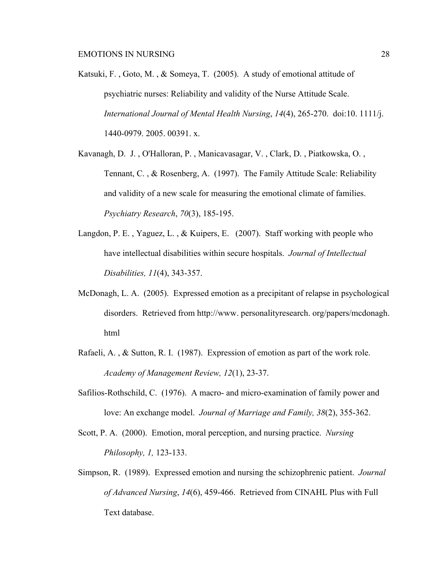- Katsuki, F. , Goto, M. , & Someya, T. (2005). A study of emotional attitude of psychiatric nurses: Reliability and validity of the Nurse Attitude Scale. *International Journal of Mental Health Nursing*, *14*(4), 265-270. doi:10. 1111/j. 1440-0979. 2005. 00391. x.
- Kavanagh, D. J. , O'Halloran, P. , Manicavasagar, V. , Clark, D. , Piatkowska, O. , Tennant, C. , & Rosenberg, A. (1997). The Family Attitude Scale: Reliability and validity of a new scale for measuring the emotional climate of families. *Psychiatry Research*, *70*(3), 185-195.
- Langdon, P. E. , Yaguez, L. , & Kuipers, E. (2007). Staff working with people who have intellectual disabilities within secure hospitals. *Journal of Intellectual Disabilities, 11*(4), 343-357.
- McDonagh, L. A. (2005). Expressed emotion as a precipitant of relapse in psychological disorders. Retrieved from http://www. personalityresearch. org/papers/mcdonagh. html
- Rafaeli, A. , & Sutton, R. I. (1987). Expression of emotion as part of the work role. *Academy of Management Review, 12*(1), 23-37.
- Safilios-Rothschild, C. (1976). A macro- and micro-examination of family power and love: An exchange model. *Journal of Marriage and Family, 38*(2), 355-362.
- Scott, P. A. (2000). Emotion, moral perception, and nursing practice. *Nursing Philosophy, 1,* 123-133.
- Simpson, R. (1989). Expressed emotion and nursing the schizophrenic patient. *Journal of Advanced Nursing*, *14*(6), 459-466. Retrieved from CINAHL Plus with Full Text database.